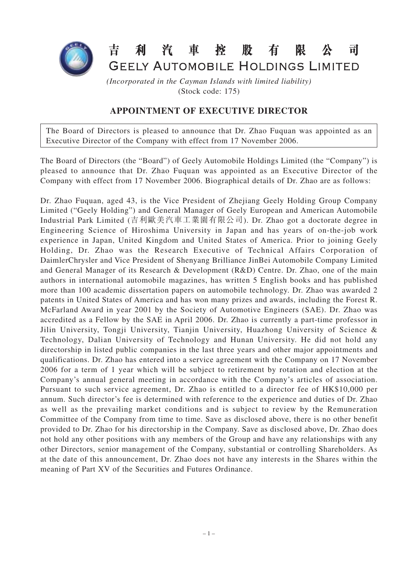

## 昔 利 汽 車 榁 股 有 限 司 GEELY AUTOMOBILE HOLDINGS LIMITED

*(Incorporated in the Cayman Islands with limited liability)* (Stock code: 175)

## **APPOINTMENT OF EXECUTIVE DIRECTOR**

The Board of Directors is pleased to announce that Dr. Zhao Fuquan was appointed as an Executive Director of the Company with effect from 17 November 2006.

The Board of Directors (the "Board") of Geely Automobile Holdings Limited (the "Company") is pleased to announce that Dr. Zhao Fuquan was appointed as an Executive Director of the Company with effect from 17 November 2006. Biographical details of Dr. Zhao are as follows:

Dr. Zhao Fuquan, aged 43, is the Vice President of Zhejiang Geely Holding Group Company Limited ("Geely Holding") and General Manager of Geely European and American Automobile Industrial Park Limited (吉利歐美汽車工業園有限公司). Dr. Zhao got a doctorate degree in Engineering Science of Hiroshima University in Japan and has years of on-the-job work experience in Japan, United Kingdom and United States of America. Prior to joining Geely Holding, Dr. Zhao was the Research Executive of Technical Affairs Corporation of DaimlerChrysler and Vice President of Shenyang Brilliance JinBei Automobile Company Limited and General Manager of its Research & Development (R&D) Centre. Dr. Zhao, one of the main authors in international automobile magazines, has written 5 English books and has published more than 100 academic dissertation papers on automobile technology. Dr. Zhao was awarded 2 patents in United States of America and has won many prizes and awards, including the Forest R. McFarland Award in year 2001 by the Society of Automotive Engineers (SAE). Dr. Zhao was accredited as a Fellow by the SAE in April 2006. Dr. Zhao is currently a part-time professor in Jilin University, Tongji University, Tianjin University, Huazhong University of Science & Technology, Dalian University of Technology and Hunan University. He did not hold any directorship in listed public companies in the last three years and other major appointments and qualifications. Dr. Zhao has entered into a service agreement with the Company on 17 November 2006 for a term of 1 year which will be subject to retirement by rotation and election at the Company's annual general meeting in accordance with the Company's articles of association. Pursuant to such service agreement, Dr. Zhao is entitled to a director fee of HK\$10,000 per annum. Such director's fee is determined with reference to the experience and duties of Dr. Zhao as well as the prevailing market conditions and is subject to review by the Remuneration Committee of the Company from time to time. Save as disclosed above, there is no other benefit provided to Dr. Zhao for his directorship in the Company. Save as disclosed above, Dr. Zhao does not hold any other positions with any members of the Group and have any relationships with any other Directors, senior management of the Company, substantial or controlling Shareholders. As at the date of this announcement, Dr. Zhao does not have any interests in the Shares within the meaning of Part XV of the Securities and Futures Ordinance.